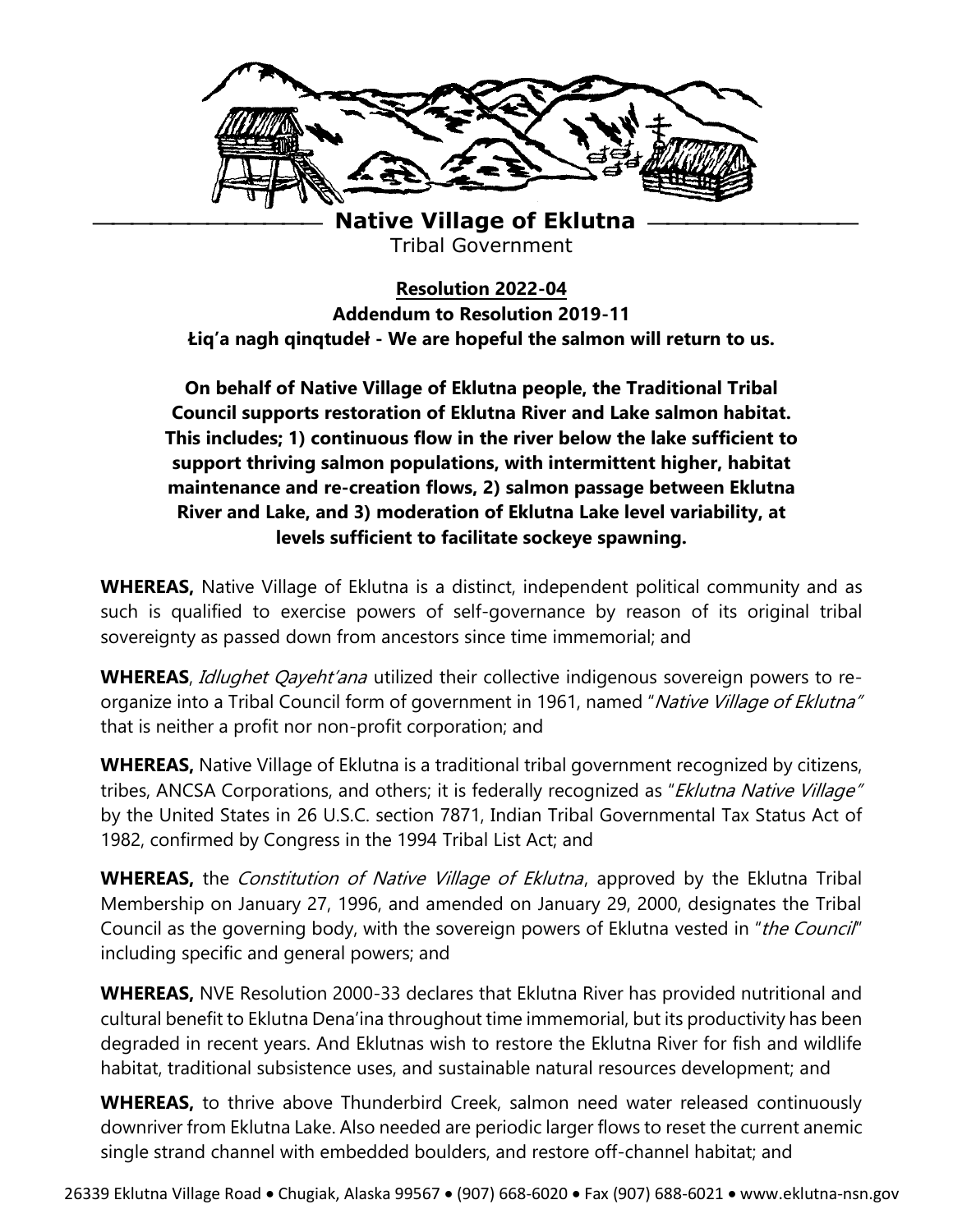

**Native Village of Eklutna** Tribal Government

**Resolution 2022-04 Addendum to Resolution 2019-11 Łiq'a nagh qinqtudeł - We are hopeful the salmon will return to us.** 

**On behalf of Native Village of Eklutna people, the Traditional Tribal Council supports restoration of Eklutna River and Lake salmon habitat. This includes; 1) continuous flow in the river below the lake sufficient to support thriving salmon populations, with intermittent higher, habitat maintenance and re-creation flows, 2) salmon passage between Eklutna River and Lake, and 3) moderation of Eklutna Lake level variability, at levels sufficient to facilitate sockeye spawning.** 

**WHEREAS,** Native Village of Eklutna is a distinct, independent political community and as such is qualified to exercise powers of self-governance by reason of its original tribal sovereignty as passed down from ancestors since time immemorial; and

**WHEREAS**, Idlughet Qayeht'ana utilized their collective indigenous sovereign powers to reorganize into a Tribal Council form of government in 1961, named "Native Village of Eklutna" that is neither a profit nor non-profit corporation; and

**WHEREAS,** Native Village of Eklutna is a traditional tribal government recognized by citizens, tribes, ANCSA Corporations, and others; it is federally recognized as "Eklutna Native Village" by the United States in 26 U.S.C. section 7871, Indian Tribal Governmental Tax Status Act of 1982, confirmed by Congress in the 1994 Tribal List Act; and

**WHEREAS,** the *Constitution of Native Village of Eklutna*, approved by the Eklutna Tribal Membership on January 27, 1996, and amended on January 29, 2000, designates the Tribal Council as the governing body, with the sovereign powers of Eklutna vested in "the Council" including specific and general powers; and

**WHEREAS,** NVE Resolution 2000-33 declares that Eklutna River has provided nutritional and cultural benefit to Eklutna Dena'ina throughout time immemorial, but its productivity has been degraded in recent years. And Eklutnas wish to restore the Eklutna River for fish and wildlife habitat, traditional subsistence uses, and sustainable natural resources development; and

**WHEREAS,** to thrive above Thunderbird Creek, salmon need water released continuously downriver from Eklutna Lake. Also needed are periodic larger flows to reset the current anemic single strand channel with embedded boulders, and restore off-channel habitat; and